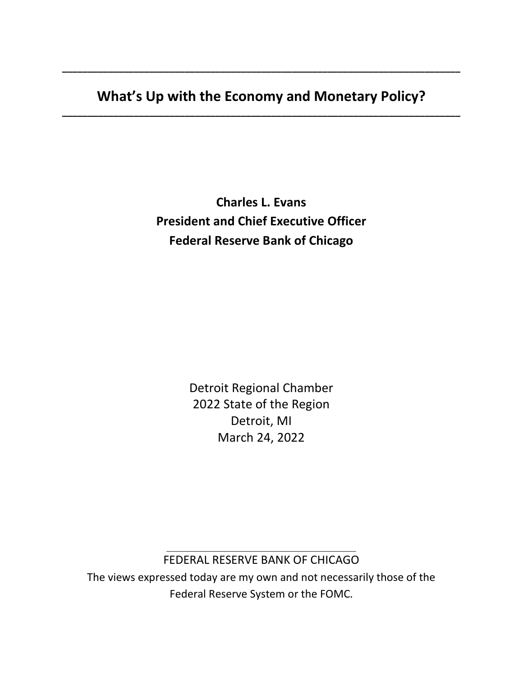**What's Up with the Economy and Monetary Policy? \_\_\_\_\_\_\_\_\_\_\_\_\_\_\_\_\_\_\_\_\_\_\_\_\_\_\_\_\_\_\_\_\_\_\_\_\_\_\_\_\_\_\_\_\_\_\_\_\_\_\_\_\_\_\_\_\_\_\_\_\_\_\_\_\_\_\_\_\_\_\_\_\_\_\_\_\_\_**

**\_\_\_\_\_\_\_\_\_\_\_\_\_\_\_\_\_\_\_\_\_\_\_\_\_\_\_\_\_\_\_\_\_\_\_\_\_\_\_\_\_\_\_\_\_\_\_\_\_\_\_\_\_\_\_\_\_\_\_\_\_\_\_\_\_\_\_\_\_\_\_\_\_\_\_\_\_\_**

**Charles L. Evans President and Chief Executive Officer Federal Reserve Bank of Chicago** 

> Detroit Regional Chamber 2022 State of the Region Detroit, MI March 24, 2022

\_\_\_\_\_\_\_\_\_\_\_\_\_\_\_\_\_\_\_\_\_\_\_\_\_\_\_\_\_\_\_\_\_\_\_\_\_ FEDERAL RESERVE BANK OF CHICAGO

The views expressed today are my own and not necessarily those of the Federal Reserve System or the FOMC.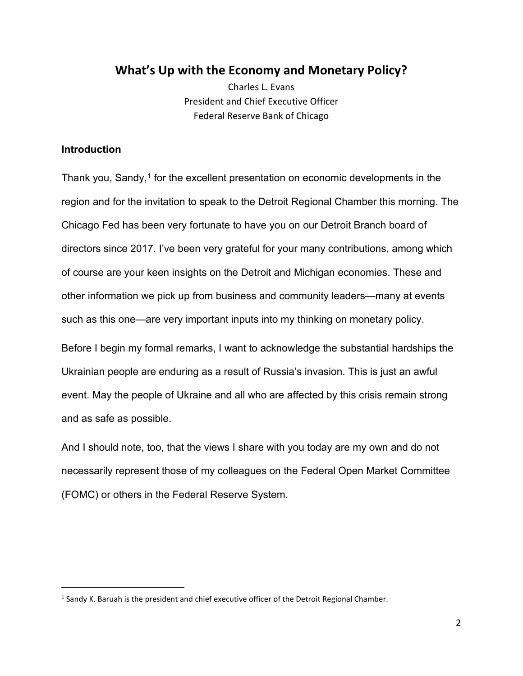# **What's Up with the Economy and Monetary Policy?**

Charles L. Evans President and Chief Executive Officer Federal Reserve Bank of Chicago

## **Introduction**

Thank you, Sandy,<sup>[1](#page-1-0)</sup> for the excellent presentation on economic developments in the region and for the invitation to speak to the Detroit Regional Chamber this morning. The Chicago Fed has been very fortunate to have you on our Detroit Branch board of directors since 2017. I've been very grateful for your many contributions, among which of course are your keen insights on the Detroit and Michigan economies. These and other information we pick up from business and community leaders—many at events such as this one—are very important inputs into my thinking on monetary policy.

Before I begin my formal remarks, I want to acknowledge the substantial hardships the Ukrainian people are enduring as a result of Russia's invasion. This is just an awful event. May the people of Ukraine and all who are affected by this crisis remain strong and as safe as possible.

And I should note, too, that the views I share with you today are my own and do not necessarily represent those of my colleagues on the Federal Open Market Committee (FOMC) or others in the Federal Reserve System.

<span id="page-1-0"></span> $1$  Sandy K. Baruah is the president and chief executive officer of the Detroit Regional Chamber.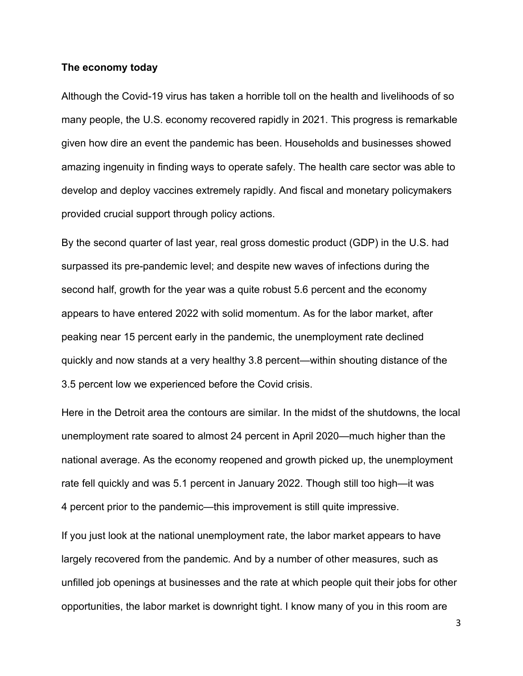#### **The economy today**

Although the Covid-19 virus has taken a horrible toll on the health and livelihoods of so many people, the U.S. economy recovered rapidly in 2021. This progress is remarkable given how dire an event the pandemic has been. Households and businesses showed amazing ingenuity in finding ways to operate safely. The health care sector was able to develop and deploy vaccines extremely rapidly. And fiscal and monetary policymakers provided crucial support through policy actions.

By the second quarter of last year, real gross domestic product (GDP) in the U.S. had surpassed its pre-pandemic level; and despite new waves of infections during the second half, growth for the year was a quite robust 5.6 percent and the economy appears to have entered 2022 with solid momentum. As for the labor market, after peaking near 15 percent early in the pandemic, the unemployment rate declined quickly and now stands at a very healthy 3.8 percent—within shouting distance of the 3.5 percent low we experienced before the Covid crisis.

Here in the Detroit area the contours are similar. In the midst of the shutdowns, the local unemployment rate soared to almost 24 percent in April 2020—much higher than the national average. As the economy reopened and growth picked up, the unemployment rate fell quickly and was 5.1 percent in January 2022. Though still too high—it was 4 percent prior to the pandemic—this improvement is still quite impressive.

If you just look at the national unemployment rate, the labor market appears to have largely recovered from the pandemic. And by a number of other measures, such as unfilled job openings at businesses and the rate at which people quit their jobs for other opportunities, the labor market is downright tight. I know many of you in this room are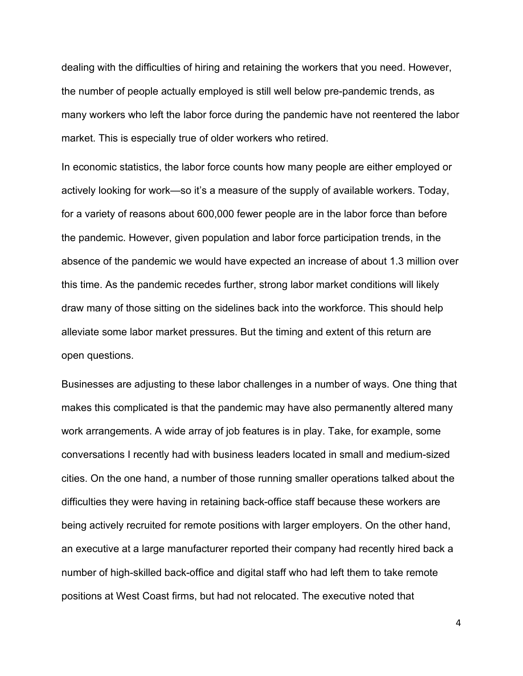dealing with the difficulties of hiring and retaining the workers that you need. However, the number of people actually employed is still well below pre-pandemic trends, as many workers who left the labor force during the pandemic have not reentered the labor market. This is especially true of older workers who retired.

In economic statistics, the labor force counts how many people are either employed or actively looking for work—so it's a measure of the supply of available workers. Today, for a variety of reasons about 600,000 fewer people are in the labor force than before the pandemic. However, given population and labor force participation trends, in the absence of the pandemic we would have expected an increase of about 1.3 million over this time. As the pandemic recedes further, strong labor market conditions will likely draw many of those sitting on the sidelines back into the workforce. This should help alleviate some labor market pressures. But the timing and extent of this return are open questions.

Businesses are adjusting to these labor challenges in a number of ways. One thing that makes this complicated is that the pandemic may have also permanently altered many work arrangements. A wide array of job features is in play. Take, for example, some conversations I recently had with business leaders located in small and medium-sized cities. On the one hand, a number of those running smaller operations talked about the difficulties they were having in retaining back-office staff because these workers are being actively recruited for remote positions with larger employers. On the other hand, an executive at a large manufacturer reported their company had recently hired back a number of high-skilled back-office and digital staff who had left them to take remote positions at West Coast firms, but had not relocated. The executive noted that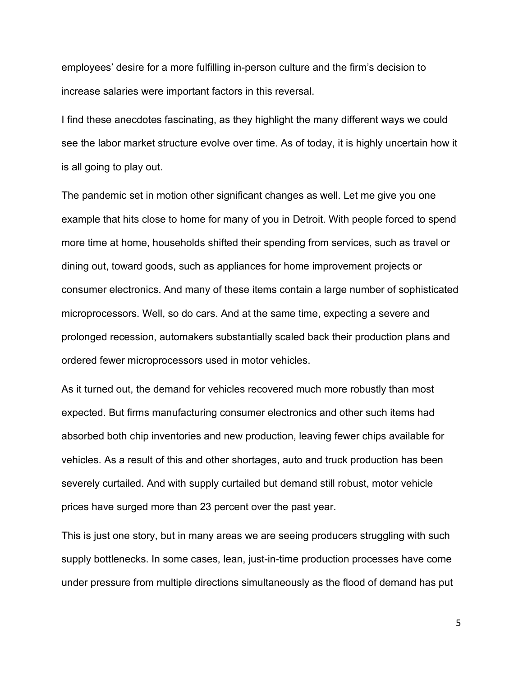employees' desire for a more fulfilling in-person culture and the firm's decision to increase salaries were important factors in this reversal.

I find these anecdotes fascinating, as they highlight the many different ways we could see the labor market structure evolve over time. As of today, it is highly uncertain how it is all going to play out.

The pandemic set in motion other significant changes as well. Let me give you one example that hits close to home for many of you in Detroit. With people forced to spend more time at home, households shifted their spending from services, such as travel or dining out, toward goods, such as appliances for home improvement projects or consumer electronics. And many of these items contain a large number of sophisticated microprocessors. Well, so do cars. And at the same time, expecting a severe and prolonged recession, automakers substantially scaled back their production plans and ordered fewer microprocessors used in motor vehicles.

As it turned out, the demand for vehicles recovered much more robustly than most expected. But firms manufacturing consumer electronics and other such items had absorbed both chip inventories and new production, leaving fewer chips available for vehicles. As a result of this and other shortages, auto and truck production has been severely curtailed. And with supply curtailed but demand still robust, motor vehicle prices have surged more than 23 percent over the past year.

This is just one story, but in many areas we are seeing producers struggling with such supply bottlenecks. In some cases, lean, just-in-time production processes have come under pressure from multiple directions simultaneously as the flood of demand has put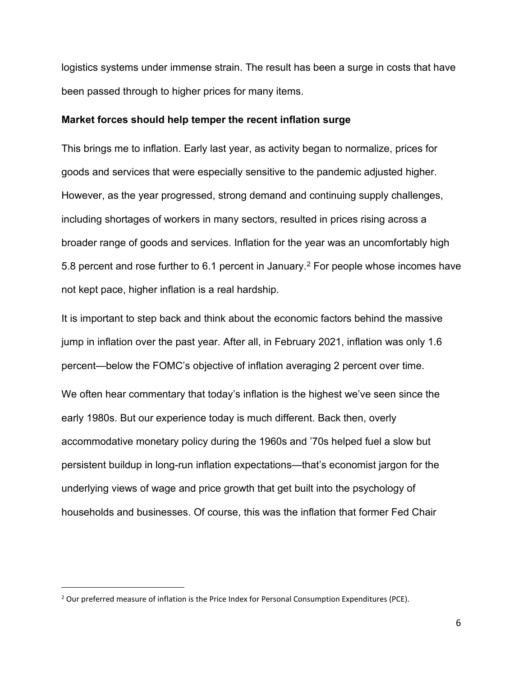logistics systems under immense strain. The result has been a surge in costs that have been passed through to higher prices for many items.

#### **Market forces should help temper the recent inflation surge**

This brings me to inflation. Early last year, as activity began to normalize, prices for goods and services that were especially sensitive to the pandemic adjusted higher. However, as the year progressed, strong demand and continuing supply challenges, including shortages of workers in many sectors, resulted in prices rising across a broader range of goods and services. Inflation for the year was an uncomfortably high 5.8 percent and rose further to 6.1 percent in January.<sup>[2](#page-5-0)</sup> For people whose incomes have not kept pace, higher inflation is a real hardship.

It is important to step back and think about the economic factors behind the massive jump in inflation over the past year. After all, in February 2021, inflation was only 1.6 percent—below the FOMC's objective of inflation averaging 2 percent over time. We often hear commentary that today's inflation is the highest we've seen since the early 1980s. But our experience today is much different. Back then, overly accommodative monetary policy during the 1960s and '70s helped fuel a slow but persistent buildup in long-run inflation expectations—that's economist jargon for the underlying views of wage and price growth that get built into the psychology of households and businesses. Of course, this was the inflation that former Fed Chair

<span id="page-5-0"></span> $<sup>2</sup>$  Our preferred measure of inflation is the Price Index for Personal Consumption Expenditures (PCE).</sup>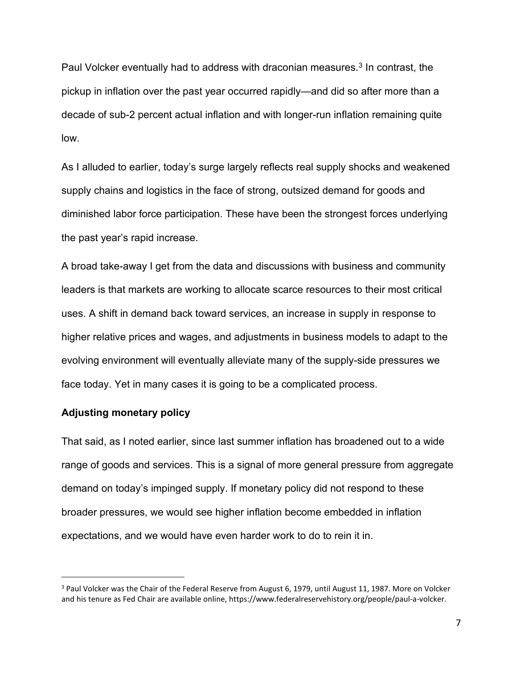Paul Volcker eventually had to address with draconian measures.<sup>[3](#page-6-0)</sup> In contrast, the pickup in inflation over the past year occurred rapidly—and did so after more than a decade of sub-2 percent actual inflation and with longer-run inflation remaining quite low.

As I alluded to earlier, today's surge largely reflects real supply shocks and weakened supply chains and logistics in the face of strong, outsized demand for goods and diminished labor force participation. These have been the strongest forces underlying the past year's rapid increase.

A broad take-away I get from the data and discussions with business and community leaders is that markets are working to allocate scarce resources to their most critical uses. A shift in demand back toward services, an increase in supply in response to higher relative prices and wages, and adjustments in business models to adapt to the evolving environment will eventually alleviate many of the supply-side pressures we face today. Yet in many cases it is going to be a complicated process.

### **Adjusting monetary policy**

That said, as I noted earlier, since last summer inflation has broadened out to a wide range of goods and services. This is a signal of more general pressure from aggregate demand on today's impinged supply. If monetary policy did not respond to these broader pressures, we would see higher inflation become embedded in inflation expectations, and we would have even harder work to do to rein it in.

<span id="page-6-0"></span><sup>&</sup>lt;sup>3</sup> Paul Volcker was the Chair of the Federal Reserve from August 6, 1979, until August 11, 1987. More on Volcker and his tenure as Fed Chair are available online, https://www.federalreservehistory.org/people/paul-a-volcker.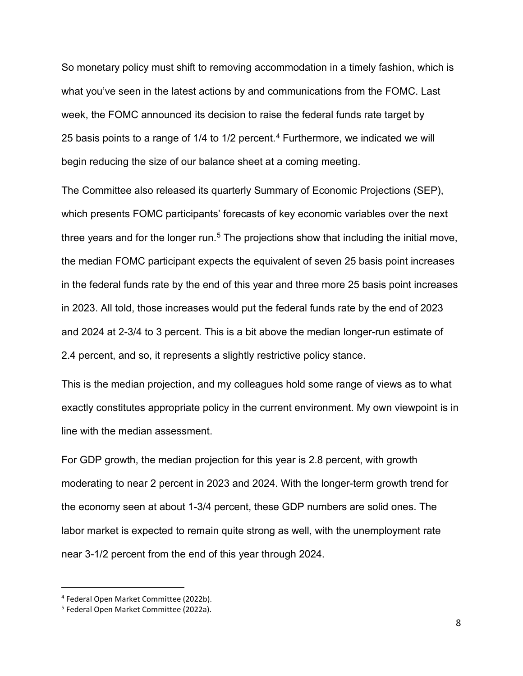So monetary policy must shift to removing accommodation in a timely fashion, which is what you've seen in the latest actions by and communications from the FOMC. Last week, the FOMC announced its decision to raise the federal funds rate target by 25 basis points to a range of 1/[4](#page-7-0) to 1/2 percent.<sup>4</sup> Furthermore, we indicated we will begin reducing the size of our balance sheet at a coming meeting.

The Committee also released its quarterly Summary of Economic Projections (SEP), which presents FOMC participants' forecasts of key economic variables over the next three years and for the longer run.<sup>[5](#page-7-1)</sup> The projections show that including the initial move, the median FOMC participant expects the equivalent of seven 25 basis point increases in the federal funds rate by the end of this year and three more 25 basis point increases in 2023. All told, those increases would put the federal funds rate by the end of 2023 and 2024 at 2-3/4 to 3 percent. This is a bit above the median longer-run estimate of 2.4 percent, and so, it represents a slightly restrictive policy stance.

This is the median projection, and my colleagues hold some range of views as to what exactly constitutes appropriate policy in the current environment. My own viewpoint is in line with the median assessment.

For GDP growth, the median projection for this year is 2.8 percent, with growth moderating to near 2 percent in 2023 and 2024. With the longer-term growth trend for the economy seen at about 1-3/4 percent, these GDP numbers are solid ones. The labor market is expected to remain quite strong as well, with the unemployment rate near 3-1/2 percent from the end of this year through 2024.

<span id="page-7-0"></span><sup>4</sup> Federal Open Market Committee (2022b).

<span id="page-7-1"></span><sup>5</sup> Federal Open Market Committee (2022a).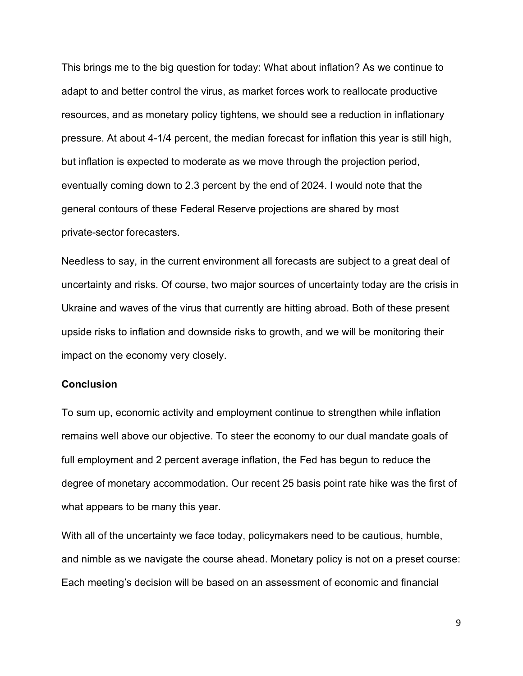This brings me to the big question for today: What about inflation? As we continue to adapt to and better control the virus, as market forces work to reallocate productive resources, and as monetary policy tightens, we should see a reduction in inflationary pressure. At about 4-1/4 percent, the median forecast for inflation this year is still high, but inflation is expected to moderate as we move through the projection period, eventually coming down to 2.3 percent by the end of 2024. I would note that the general contours of these Federal Reserve projections are shared by most private-sector forecasters.

Needless to say, in the current environment all forecasts are subject to a great deal of uncertainty and risks. Of course, two major sources of uncertainty today are the crisis in Ukraine and waves of the virus that currently are hitting abroad. Both of these present upside risks to inflation and downside risks to growth, and we will be monitoring their impact on the economy very closely.

### **Conclusion**

To sum up, economic activity and employment continue to strengthen while inflation remains well above our objective. To steer the economy to our dual mandate goals of full employment and 2 percent average inflation, the Fed has begun to reduce the degree of monetary accommodation. Our recent 25 basis point rate hike was the first of what appears to be many this year.

With all of the uncertainty we face today, policymakers need to be cautious, humble, and nimble as we navigate the course ahead. Monetary policy is not on a preset course: Each meeting's decision will be based on an assessment of economic and financial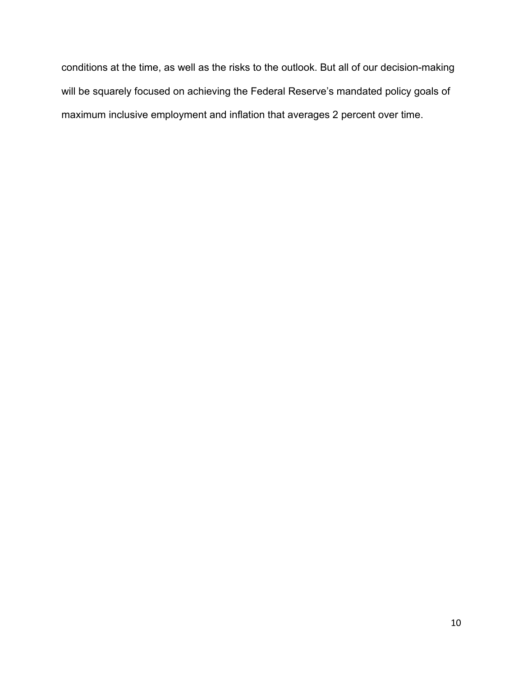conditions at the time, as well as the risks to the outlook. But all of our decision-making will be squarely focused on achieving the Federal Reserve's mandated policy goals of maximum inclusive employment and inflation that averages 2 percent over time.